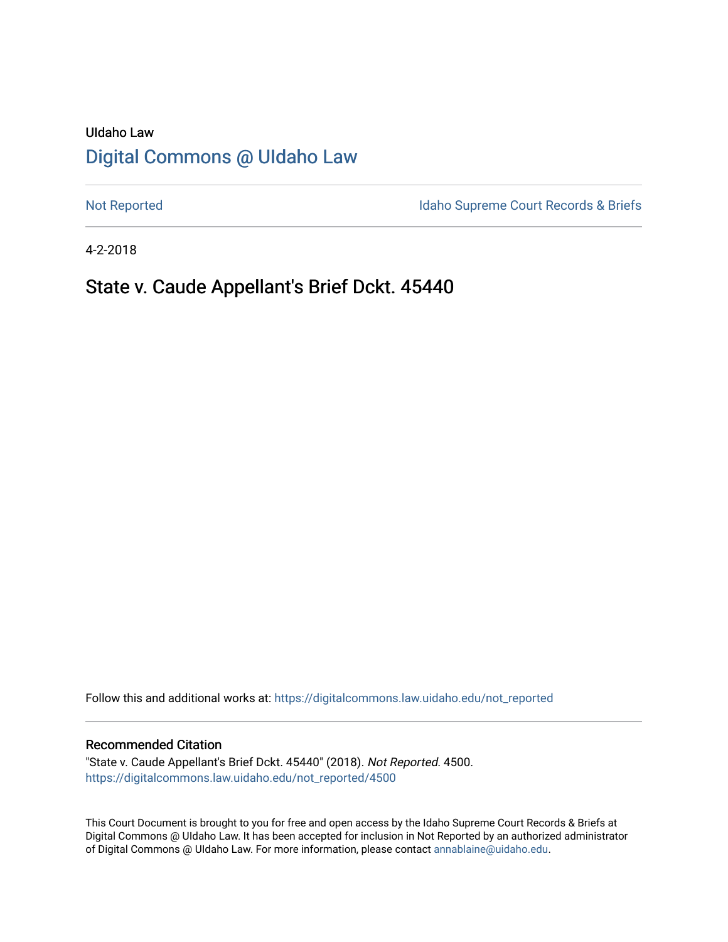# UIdaho Law [Digital Commons @ UIdaho Law](https://digitalcommons.law.uidaho.edu/)

[Not Reported](https://digitalcommons.law.uidaho.edu/not_reported) **Idaho Supreme Court Records & Briefs** 

4-2-2018

# State v. Caude Appellant's Brief Dckt. 45440

Follow this and additional works at: [https://digitalcommons.law.uidaho.edu/not\\_reported](https://digitalcommons.law.uidaho.edu/not_reported?utm_source=digitalcommons.law.uidaho.edu%2Fnot_reported%2F4500&utm_medium=PDF&utm_campaign=PDFCoverPages) 

### Recommended Citation

"State v. Caude Appellant's Brief Dckt. 45440" (2018). Not Reported. 4500. [https://digitalcommons.law.uidaho.edu/not\\_reported/4500](https://digitalcommons.law.uidaho.edu/not_reported/4500?utm_source=digitalcommons.law.uidaho.edu%2Fnot_reported%2F4500&utm_medium=PDF&utm_campaign=PDFCoverPages)

This Court Document is brought to you for free and open access by the Idaho Supreme Court Records & Briefs at Digital Commons @ UIdaho Law. It has been accepted for inclusion in Not Reported by an authorized administrator of Digital Commons @ UIdaho Law. For more information, please contact [annablaine@uidaho.edu](mailto:annablaine@uidaho.edu).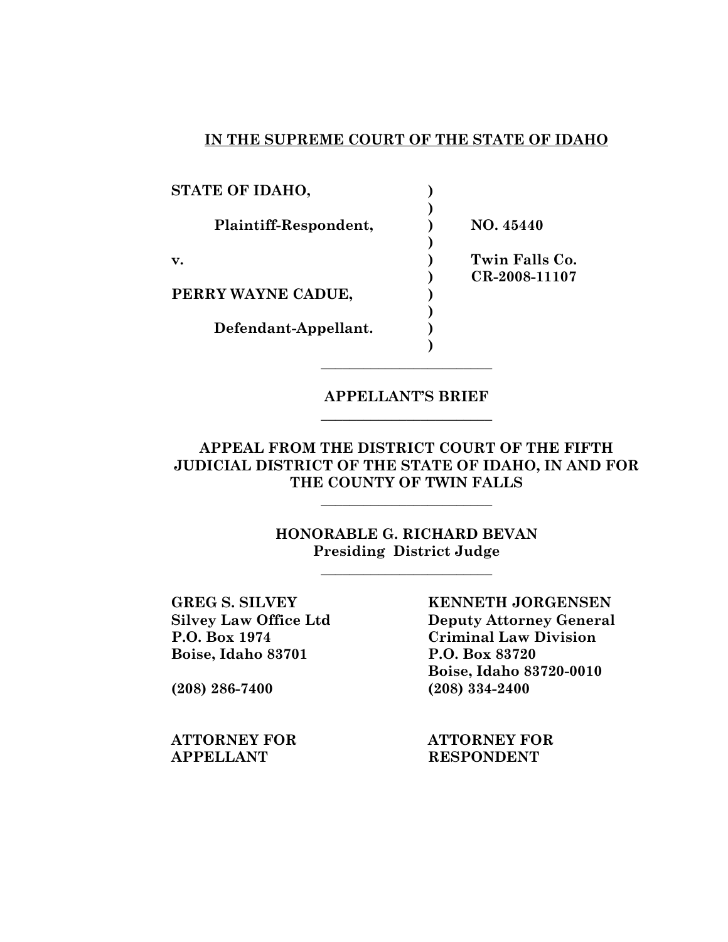## **IN THE SUPREME COURT OF THE STATE OF IDAHO**

| STATE OF IDAHO,       |                |
|-----------------------|----------------|
|                       |                |
| Plaintiff-Respondent, | NO. 45440      |
|                       |                |
| $\mathbf{v}$ .        | Twin Falls Co. |
|                       | CR-2008-11107  |
| PERRY WAYNE CADUE,    |                |
|                       |                |
| Defendant-Appellant.  |                |
|                       |                |

## **APPELLANT'S BRIEF** \_\_\_\_\_\_\_\_\_\_\_\_\_\_\_\_\_\_\_\_\_\_\_\_

\_\_\_\_\_\_\_\_\_\_\_\_\_\_\_\_\_\_\_\_\_\_\_\_

**APPEAL FROM THE DISTRICT COURT OF THE FIFTH JUDICIAL DISTRICT OF THE STATE OF IDAHO, IN AND FOR THE COUNTY OF TWIN FALLS**

 $\overline{\mathcal{L}}$  , which is a set of the set of the set of the set of the set of the set of the set of the set of the set of the set of the set of the set of the set of the set of the set of the set of the set of the set of th

**HONORABLE G. RICHARD BEVAN Presiding District Judge** 

 $\overline{\mathcal{L}}$  , which is a set of the set of the set of the set of the set of the set of the set of the set of the set of the set of the set of the set of the set of the set of the set of the set of the set of the set of th

**Boise, Idaho 83701 P.O. Box 83720**

**APPELLANT RESPONDENT** 

**GREG S. SILVEY KENNETH JORGENSEN Silvey Law Office Ltd Deputy Attorney General P.O. Box 1974 Criminal Law Division Boise, Idaho 83720-0010 (208) 286-7400 (208) 334-2400**

**ATTORNEY FOR ATTORNEY FOR**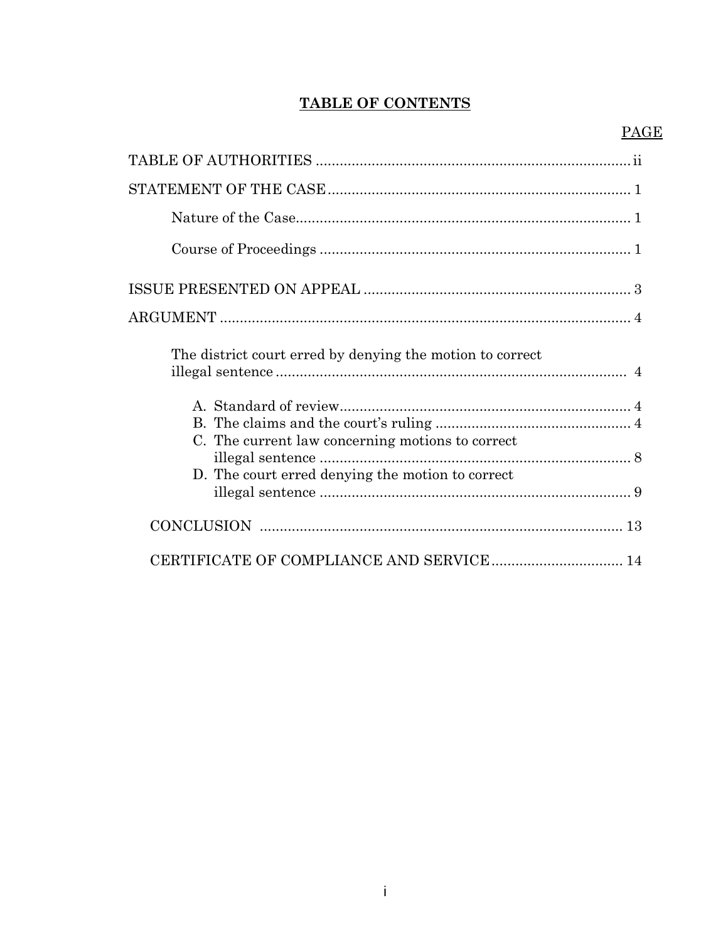# **TABLE OF CONTENTS**

| The district court erred by denying the motion to correct                                            |
|------------------------------------------------------------------------------------------------------|
| C. The current law concerning motions to correct<br>D. The court erred denying the motion to correct |
|                                                                                                      |
|                                                                                                      |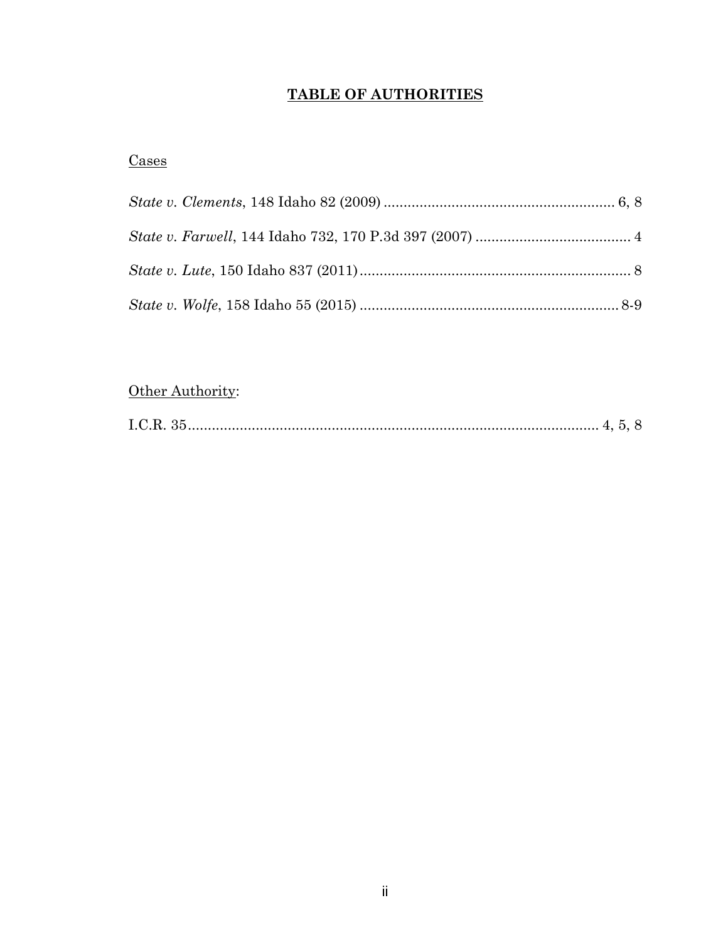# **TABLE OF AUTHORITIES**

## **Cases**

# Other Authority:

|--|--|--|--|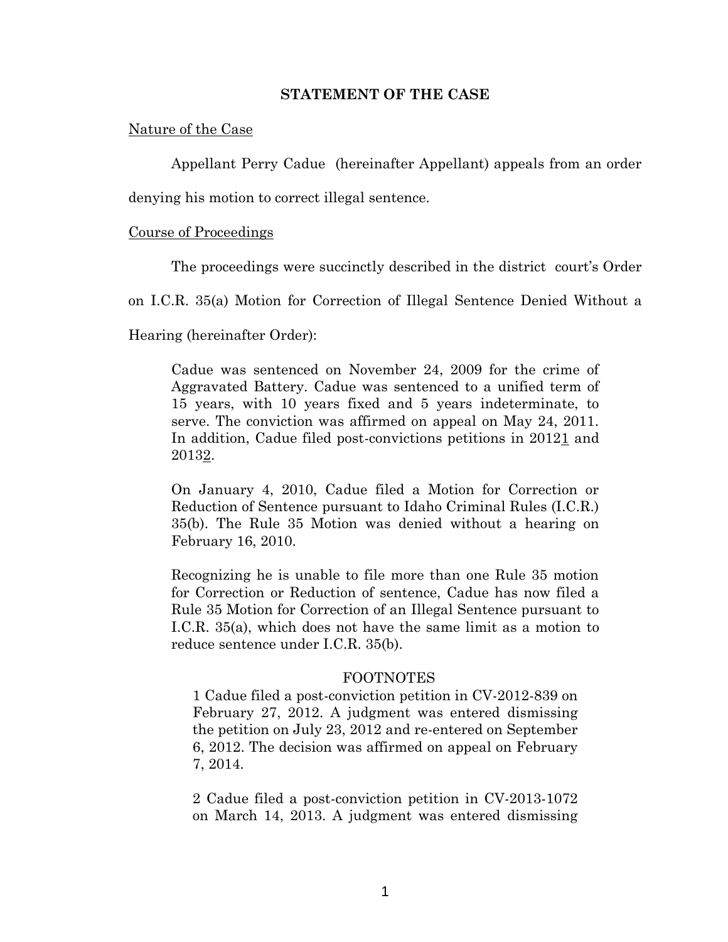### **STATEMENT OF THE CASE**

### Nature of the Case

Appellant Perry Cadue (hereinafter Appellant) appeals from an order

denying his motion to correct illegal sentence.

### Course of Proceedings

The proceedings were succinctly described in the district court's Order

on I.C.R. 35(a) Motion for Correction of Illegal Sentence Denied Without a

Hearing (hereinafter Order):

Cadue was sentenced on November 24, 2009 for the crime of Aggravated Battery. Cadue was sentenced to a unified term of 15 years, with 10 years fixed and 5 years indeterminate, to serve. The conviction was affirmed on appeal on May 24, 2011. In addition, Cadue filed post-convictions petitions in 20121 and 20132.

On January 4, 2010, Cadue filed a Motion for Correction or Reduction of Sentence pursuant to Idaho Criminal Rules (I.C.R.) 35(b). The Rule 35 Motion was denied without a hearing on February 16, 2010.

Recognizing he is unable to file more than one Rule 35 motion for Correction or Reduction of sentence, Cadue has now filed a Rule 35 Motion for Correction of an Illegal Sentence pursuant to I.C.R. 35(a), which does not have the same limit as a motion to reduce sentence under I.C.R. 35(b).

### FOOTNOTES

1 Cadue filed a post-conviction petition in CV-2012-839 on February 27, 2012. A judgment was entered dismissing the petition on July 23, 2012 and re-entered on September 6, 2012. The decision was affirmed on appeal on February 7, 2014.

2 Cadue filed a post-conviction petition in CV-2013-1072 on March 14, 2013. A judgment was entered dismissing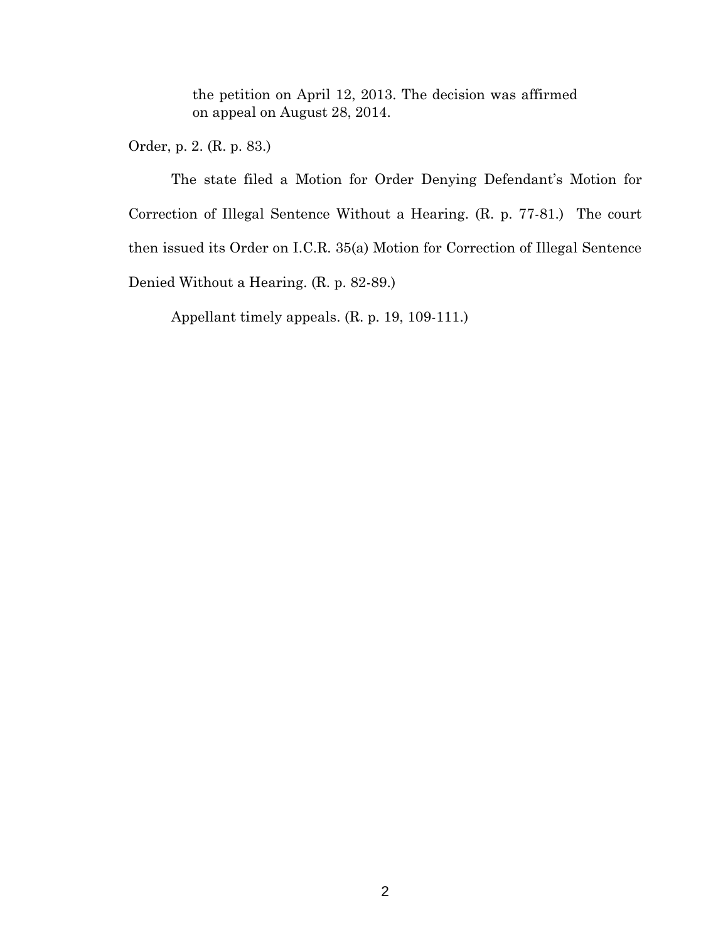the petition on April 12, 2013. The decision was affirmed on appeal on August 28, 2014.

Order, p. 2. (R. p. 83.)

The state filed a Motion for Order Denying Defendant's Motion for Correction of Illegal Sentence Without a Hearing. (R. p. 77-81.) The court then issued its Order on I.C.R. 35(a) Motion for Correction of Illegal Sentence Denied Without a Hearing. (R. p. 82-89.)

Appellant timely appeals. (R. p. 19, 109-111.)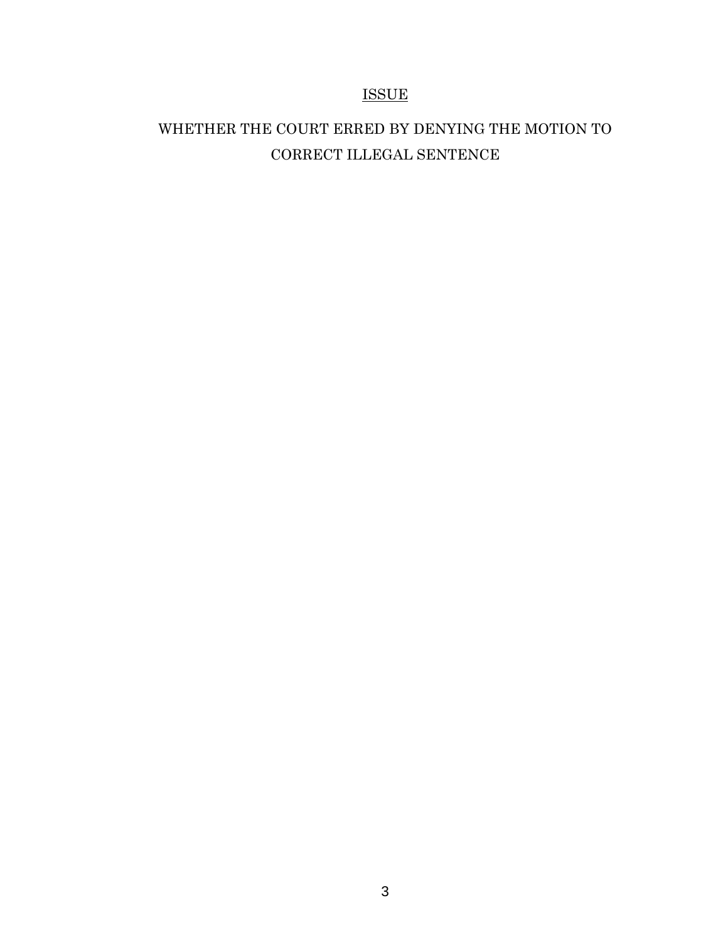## ISSUE

# WHETHER THE COURT ERRED BY DENYING THE MOTION TO CORRECT ILLEGAL SENTENCE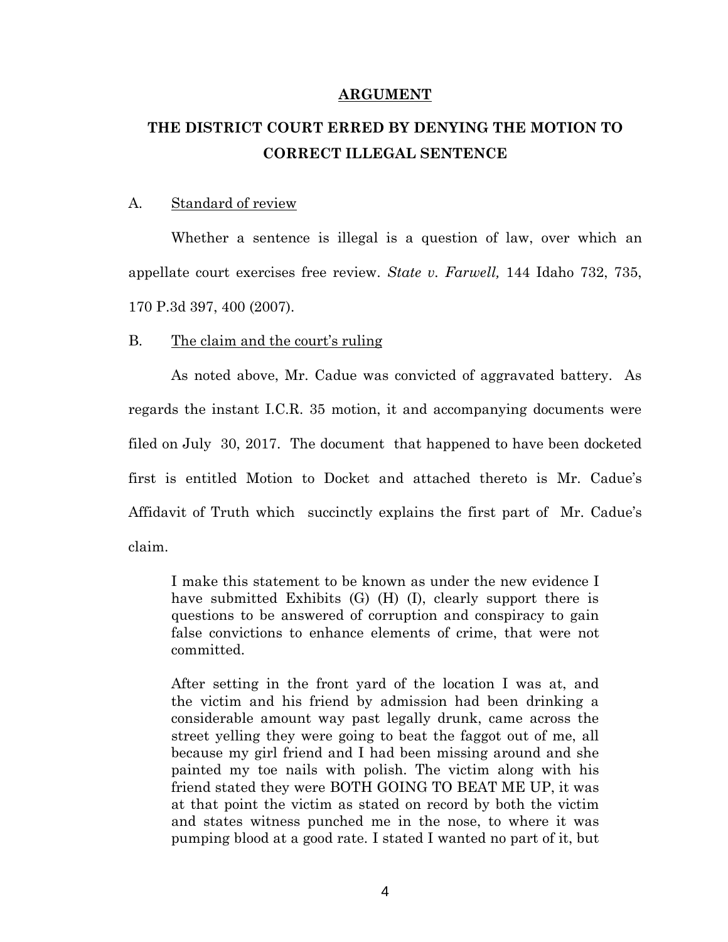### **ARGUMENT**

# **THE DISTRICT COURT ERRED BY DENYING THE MOTION TO CORRECT ILLEGAL SENTENCE**

### A. Standard of review

Whether a sentence is illegal is a question of law, over which an appellate court exercises free review. *State v. Farwell,* 144 Idaho 732, 735, 170 P.3d 397, 400 (2007).

### B. The claim and the court's ruling

As noted above, Mr. Cadue was convicted of aggravated battery. As regards the instant I.C.R. 35 motion, it and accompanying documents were filed on July 30, 2017. The document that happened to have been docketed first is entitled Motion to Docket and attached thereto is Mr. Cadue's Affidavit of Truth which succinctly explains the first part of Mr. Cadue's claim.

I make this statement to be known as under the new evidence I have submitted Exhibits (G) (H) (I), clearly support there is questions to be answered of corruption and conspiracy to gain false convictions to enhance elements of crime, that were not committed.

After setting in the front yard of the location I was at, and the victim and his friend by admission had been drinking a considerable amount way past legally drunk, came across the street yelling they were going to beat the faggot out of me, all because my girl friend and I had been missing around and she painted my toe nails with polish. The victim along with his friend stated they were BOTH GOING TO BEAT ME UP, it was at that point the victim as stated on record by both the victim and states witness punched me in the nose, to where it was pumping blood at a good rate. I stated I wanted no part of it, but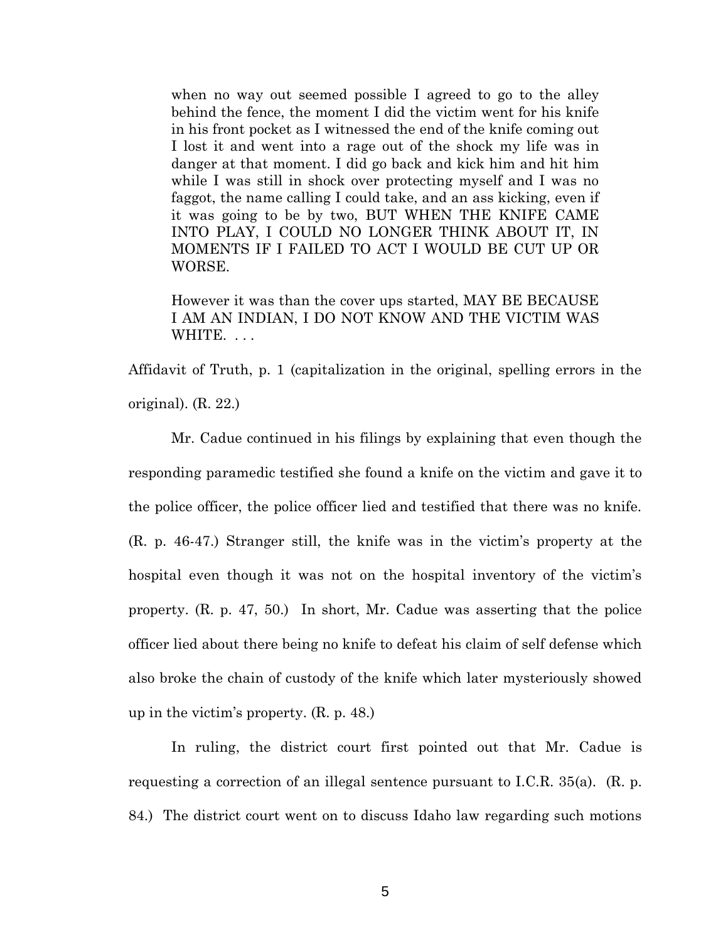when no way out seemed possible I agreed to go to the alley behind the fence, the moment I did the victim went for his knife in his front pocket as I witnessed the end of the knife coming out I lost it and went into a rage out of the shock my life was in danger at that moment. I did go back and kick him and hit him while I was still in shock over protecting myself and I was no faggot, the name calling I could take, and an ass kicking, even if it was going to be by two, BUT WHEN THE KNIFE CAME INTO PLAY, I COULD NO LONGER THINK ABOUT IT, IN MOMENTS IF I FAILED TO ACT I WOULD BE CUT UP OR WORSE.

However it was than the cover ups started, MAY BE BECAUSE I AM AN INDIAN, I DO NOT KNOW AND THE VICTIM WAS WHITE. ...

Affidavit of Truth, p. 1 (capitalization in the original, spelling errors in the original). (R. 22.)

Mr. Cadue continued in his filings by explaining that even though the responding paramedic testified she found a knife on the victim and gave it to the police officer, the police officer lied and testified that there was no knife. (R. p. 46-47.) Stranger still, the knife was in the victim's property at the hospital even though it was not on the hospital inventory of the victim's property. (R. p. 47, 50.) In short, Mr. Cadue was asserting that the police officer lied about there being no knife to defeat his claim of self defense which also broke the chain of custody of the knife which later mysteriously showed up in the victim's property. (R. p. 48.)

In ruling, the district court first pointed out that Mr. Cadue is requesting a correction of an illegal sentence pursuant to I.C.R. 35(a). (R. p. 84.) The district court went on to discuss Idaho law regarding such motions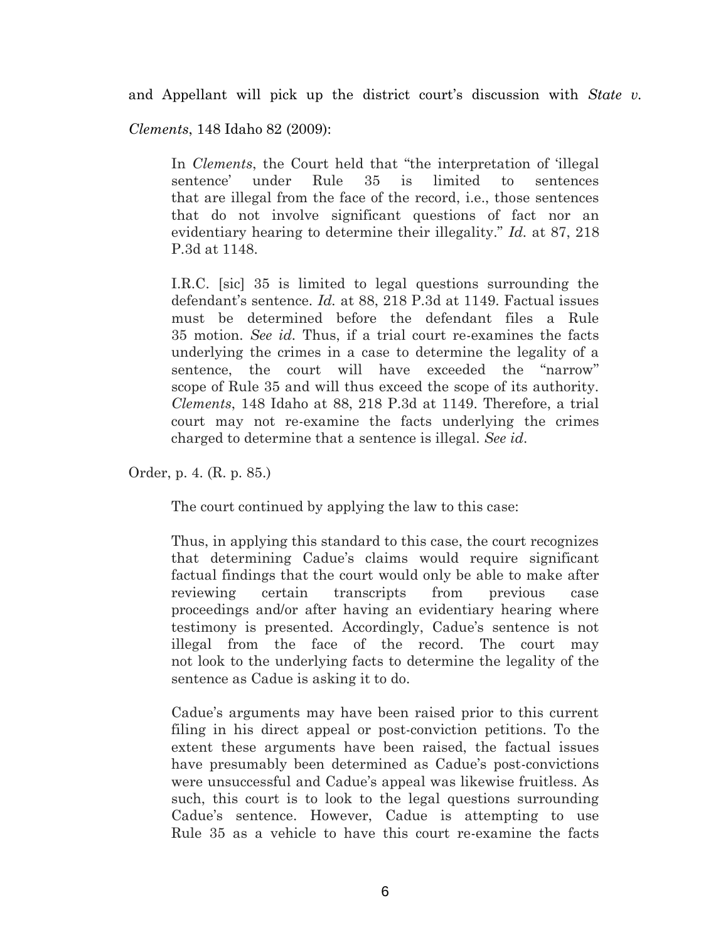and Appellant will pick up the district court's discussion with *State v.* 

*Clements*, 148 Idaho 82 (2009):

In *Clements*, the Court held that "the interpretation of 'illegal sentence' under Rule 35 is limited to sentences that are illegal from the face of the record, i.e., those sentences that do not involve significant questions of fact nor an evidentiary hearing to determine their illegality." *Id.* at 87, 218 P.3d at 1148.

I.R.C. [sic] 35 is limited to legal questions surrounding the defendant's sentence. *Id.* at 88, 218 P.3d at 1149. Factual issues must be determined before the defendant files a Rule 35 motion. *See id.* Thus, if a trial court re-examines the facts underlying the crimes in a case to determine the legality of a sentence, the court will have exceeded the "narrow" scope of Rule 35 and will thus exceed the scope of its authority. *Clements*, 148 Idaho at 88, 218 P.3d at 1149. Therefore, a trial court may not re-examine the facts underlying the crimes charged to determine that a sentence is illegal. *See id*.

Order, p. 4. (R. p. 85.)

The court continued by applying the law to this case:

Thus, in applying this standard to this case, the court recognizes that determining Cadue's claims would require significant factual findings that the court would only be able to make after reviewing certain transcripts from previous case proceedings and/or after having an evidentiary hearing where testimony is presented. Accordingly, Cadue's sentence is not illegal from the face of the record. The court may not look to the underlying facts to determine the legality of the sentence as Cadue is asking it to do.

Cadue's arguments may have been raised prior to this current filing in his direct appeal or post-conviction petitions. To the extent these arguments have been raised, the factual issues have presumably been determined as Cadue's post-convictions were unsuccessful and Cadue's appeal was likewise fruitless. As such, this court is to look to the legal questions surrounding Cadue's sentence. However, Cadue is attempting to use Rule 35 as a vehicle to have this court re-examine the facts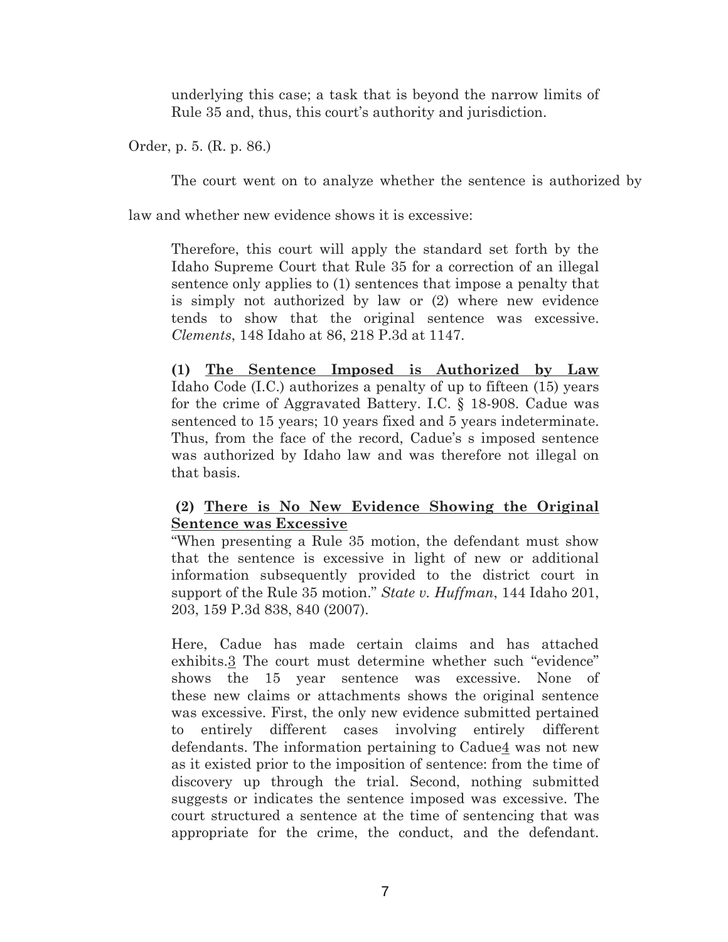underlying this case; a task that is beyond the narrow limits of Rule 35 and, thus, this court's authority and jurisdiction.

Order, p. 5. (R. p. 86.)

The court went on to analyze whether the sentence is authorized by

law and whether new evidence shows it is excessive:

Therefore, this court will apply the standard set forth by the Idaho Supreme Court that Rule 35 for a correction of an illegal sentence only applies to (1) sentences that impose a penalty that is simply not authorized by law or (2) where new evidence tends to show that the original sentence was excessive. *Clements*, 148 Idaho at 86, 218 P.3d at 1147.

**(1) The Sentence Imposed is Authorized by Law** Idaho Code (I.C.) authorizes a penalty of up to fifteen (15) years for the crime of Aggravated Battery. I.C. § 18-908. Cadue was sentenced to 15 years; 10 years fixed and 5 years indeterminate. Thus, from the face of the record, Cadue's s imposed sentence was authorized by Idaho law and was therefore not illegal on that basis.

## **(2) There is No New Evidence Showing the Original Sentence was Excessive**

"When presenting a Rule 35 motion, the defendant must show that the sentence is excessive in light of new or additional information subsequently provided to the district court in support of the Rule 35 motion." *State v. Huffman*, 144 Idaho 201, 203, 159 P.3d 838, 840 (2007).

Here, Cadue has made certain claims and has attached exhibits.3 The court must determine whether such "evidence" shows the 15 year sentence was excessive. None of these new claims or attachments shows the original sentence was excessive. First, the only new evidence submitted pertained to entirely different cases involving entirely different defendants. The information pertaining to Cadue4 was not new as it existed prior to the imposition of sentence: from the time of discovery up through the trial. Second, nothing submitted suggests or indicates the sentence imposed was excessive. The court structured a sentence at the time of sentencing that was appropriate for the crime, the conduct, and the defendant.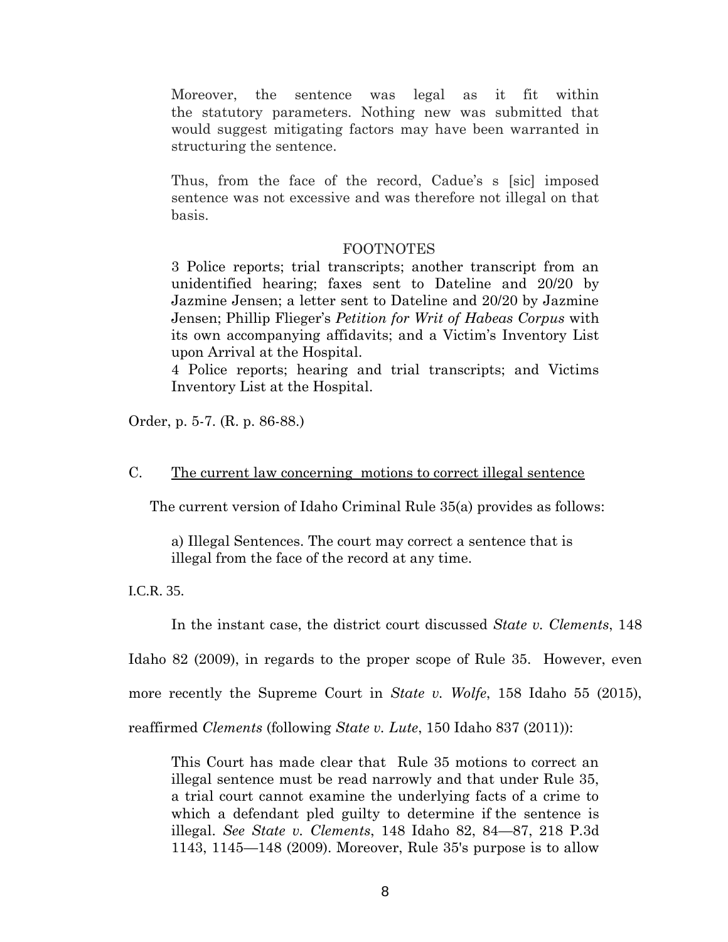Moreover, the sentence was legal as it fit within the statutory parameters. Nothing new was submitted that would suggest mitigating factors may have been warranted in structuring the sentence.

Thus, from the face of the record, Cadue's s [sic] imposed sentence was not excessive and was therefore not illegal on that basis.

#### FOOTNOTES

3 Police reports; trial transcripts; another transcript from an unidentified hearing; faxes sent to Dateline and 20/20 by Jazmine Jensen; a letter sent to Dateline and 20/20 by Jazmine Jensen; Phillip Flieger's *Petition for Writ of Habeas Corpus* with its own accompanying affidavits; and a Victim's Inventory List upon Arrival at the Hospital.

4 Police reports; hearing and trial transcripts; and Victims Inventory List at the Hospital.

Order, p. 5-7. (R. p. 86-88.)

### C. The current law concerning motions to correct illegal sentence

The current version of Idaho Criminal Rule 35(a) provides as follows:

a) Illegal Sentences. The court may correct a sentence that is illegal from the face of the record at any time.

I.C.R. 35.

In the instant case, the district court discussed *State v. Clements*, 148

Idaho 82 (2009), in regards to the proper scope of Rule 35. However, even

more recently the Supreme Court in *State v. Wolfe*, 158 Idaho 55 (2015),

reaffirmed *Clements* (following *State v. Lute*, 150 Idaho 837 (2011)):

This Court has made clear that Rule 35 motions to correct an illegal sentence must be read narrowly and that under Rule 35, a trial court cannot examine the underlying facts of a crime to which a defendant pled guilty to determine if the sentence is illegal. *See State v. Clements*, 148 Idaho 82, 84—87, 218 P.3d 1143, 1145—148 (2009). Moreover, Rule 35's purpose is to allow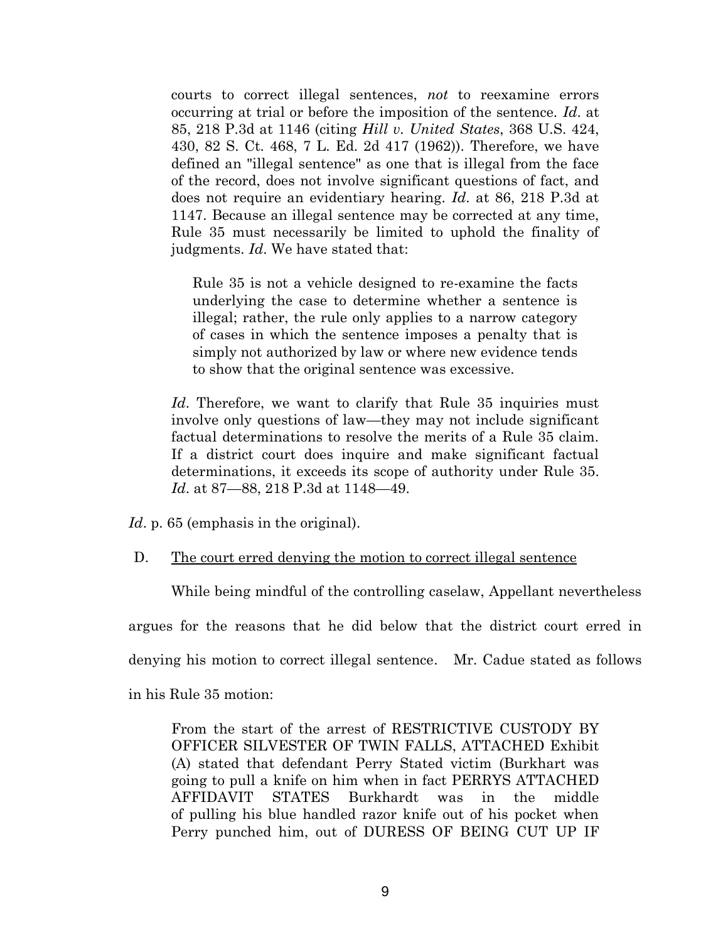courts to correct illegal sentences, *not* to reexamine errors occurring at trial or before the imposition of the sentence. *Id*. at 85, 218 P.3d at 1146 (citing *Hill v. United States*, 368 U.S. 424, 430, 82 S. Ct. 468, 7 L. Ed. 2d 417 (1962)). Therefore, we have defined an "illegal sentence" as one that is illegal from the face of the record, does not involve significant questions of fact, and does not require an evidentiary hearing. *Id*. at 86, 218 P.3d at 1147. Because an illegal sentence may be corrected at any time, Rule 35 must necessarily be limited to uphold the finality of judgments. *Id*. We have stated that:

Rule 35 is not a vehicle designed to re-examine the facts underlying the case to determine whether a sentence is illegal; rather, the rule only applies to a narrow category of cases in which the sentence imposes a penalty that is simply not authorized by law or where new evidence tends to show that the original sentence was excessive.

*Id*. Therefore, we want to clarify that Rule 35 inquiries must involve only questions of law—they may not include significant factual determinations to resolve the merits of a Rule 35 claim. If a district court does inquire and make significant factual determinations, it exceeds its scope of authority under Rule 35. *Id*. at 87—88, 218 P.3d at 1148—49.

*Id*. p. 65 (emphasis in the original).

D. The court erred denying the motion to correct illegal sentence

While being mindful of the controlling caselaw, Appellant nevertheless

argues for the reasons that he did below that the district court erred in

denying his motion to correct illegal sentence. Mr. Cadue stated as follows

in his Rule 35 motion:

From the start of the arrest of RESTRICTIVE CUSTODY BY OFFICER SILVESTER OF TWIN FALLS, ATTACHED Exhibit (A) stated that defendant Perry Stated victim (Burkhart was going to pull a knife on him when in fact PERRYS ATTACHED AFFIDAVIT STATES Burkhardt was in the middle of pulling his blue handled razor knife out of his pocket when Perry punched him, out of DURESS OF BEING CUT UP IF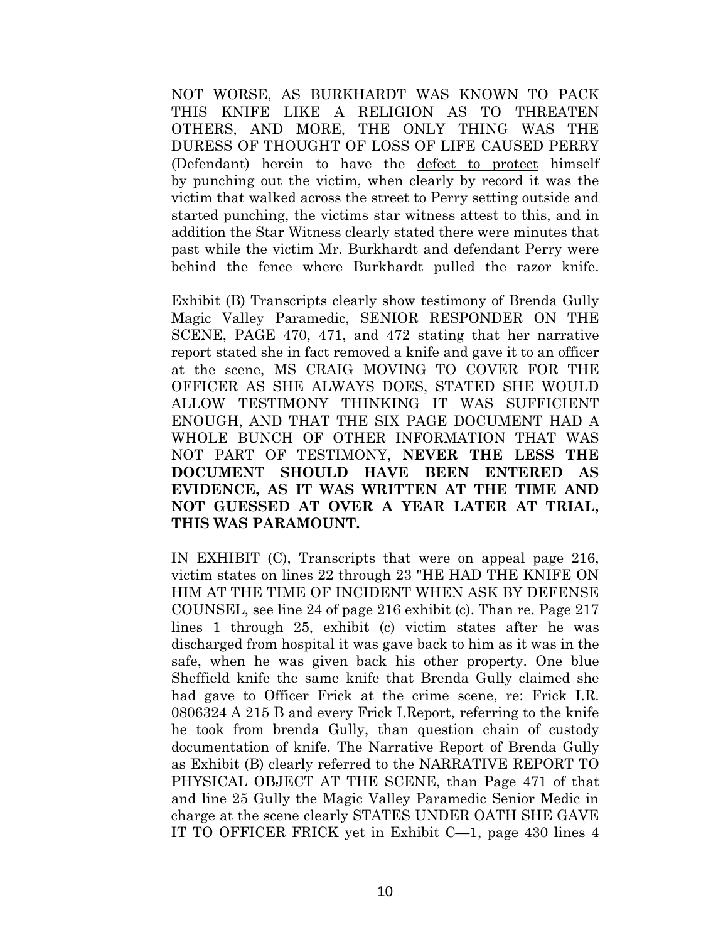NOT WORSE, AS BURKHARDT WAS KNOWN TO PACK THIS KNIFE LIKE A RELIGION AS TO THREATEN OTHERS, AND MORE, THE ONLY THING WAS THE DURESS OF THOUGHT OF LOSS OF LIFE CAUSED PERRY (Defendant) herein to have the defect to protect himself by punching out the victim, when clearly by record it was the victim that walked across the street to Perry setting outside and started punching, the victims star witness attest to this, and in addition the Star Witness clearly stated there were minutes that past while the victim Mr. Burkhardt and defendant Perry were behind the fence where Burkhardt pulled the razor knife.

Exhibit (B) Transcripts clearly show testimony of Brenda Gully Magic Valley Paramedic, SENIOR RESPONDER ON THE SCENE, PAGE 470, 471, and 472 stating that her narrative report stated she in fact removed a knife and gave it to an officer at the scene, MS CRAIG MOVING TO COVER FOR THE OFFICER AS SHE ALWAYS DOES, STATED SHE WOULD ALLOW TESTIMONY THINKING IT WAS SUFFICIENT ENOUGH, AND THAT THE SIX PAGE DOCUMENT HAD A WHOLE BUNCH OF OTHER INFORMATION THAT WAS NOT PART OF TESTIMONY, **NEVER THE LESS THE DOCUMENT SHOULD HAVE BEEN ENTERED AS EVIDENCE, AS IT WAS WRITTEN AT THE TIME AND NOT GUESSED AT OVER A YEAR LATER AT TRIAL, THIS WAS PARAMOUNT.**

IN EXHIBIT (C), Transcripts that were on appeal page 216, victim states on lines 22 through 23 "HE HAD THE KNIFE ON HIM AT THE TIME OF INCIDENT WHEN ASK BY DEFENSE COUNSEL, see line 24 of page 216 exhibit (c). Than re. Page 217 lines 1 through 25, exhibit (c) victim states after he was discharged from hospital it was gave back to him as it was in the safe, when he was given back his other property. One blue Sheffield knife the same knife that Brenda Gully claimed she had gave to Officer Frick at the crime scene, re: Frick I.R. 0806324 A 215 B and every Frick I.Report, referring to the knife he took from brenda Gully, than question chain of custody documentation of knife. The Narrative Report of Brenda Gully as Exhibit (B) clearly referred to the NARRATIVE REPORT TO PHYSICAL OBJECT AT THE SCENE, than Page 471 of that and line 25 Gully the Magic Valley Paramedic Senior Medic in charge at the scene clearly STATES UNDER OATH SHE GAVE IT TO OFFICER FRICK yet in Exhibit C—1, page 430 lines 4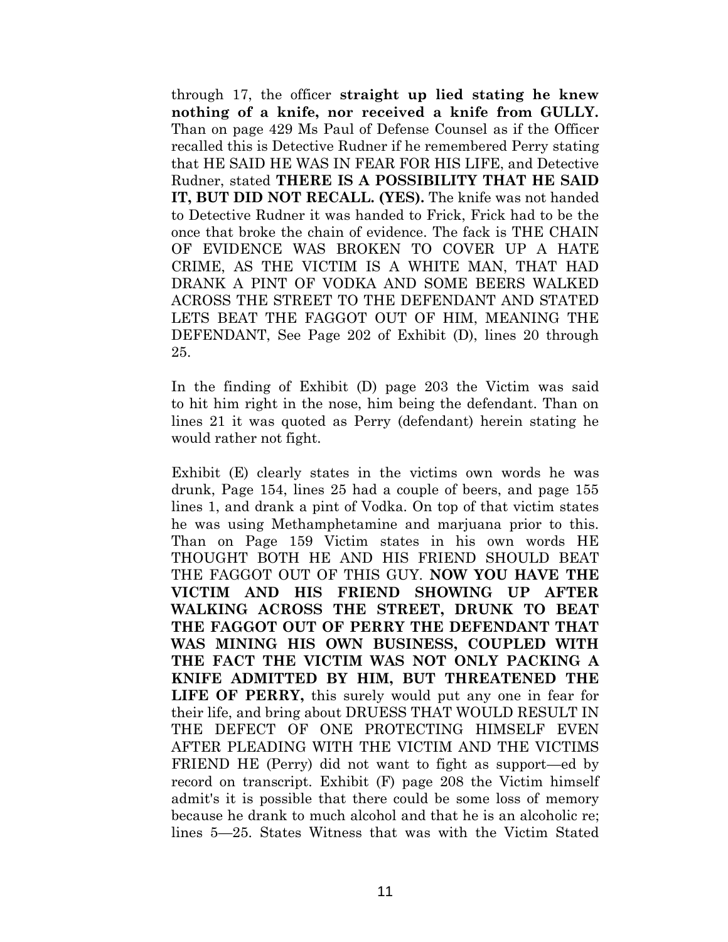through 17, the officer **straight up lied stating he knew nothing of a knife, nor received a knife from GULLY.** Than on page 429 Ms Paul of Defense Counsel as if the Officer recalled this is Detective Rudner if he remembered Perry stating that HE SAID HE WAS IN FEAR FOR HIS LIFE, and Detective Rudner, stated **THERE IS A POSSIBILITY THAT HE SAID IT, BUT DID NOT RECALL. (YES).** The knife was not handed to Detective Rudner it was handed to Frick, Frick had to be the once that broke the chain of evidence. The fack is THE CHAIN OF EVIDENCE WAS BROKEN TO COVER UP A HATE CRIME, AS THE VICTIM IS A WHITE MAN, THAT HAD DRANK A PINT OF VODKA AND SOME BEERS WALKED ACROSS THE STREET TO THE DEFENDANT AND STATED LETS BEAT THE FAGGOT OUT OF HIM, MEANING THE DEFENDANT, See Page 202 of Exhibit (D), lines 20 through 25.

In the finding of Exhibit (D) page 203 the Victim was said to hit him right in the nose, him being the defendant. Than on lines 21 it was quoted as Perry (defendant) herein stating he would rather not fight.

Exhibit (E) clearly states in the victims own words he was drunk, Page 154, lines 25 had a couple of beers, and page 155 lines 1, and drank a pint of Vodka. On top of that victim states he was using Methamphetamine and marjuana prior to this. Than on Page 159 Victim states in his own words HE THOUGHT BOTH HE AND HIS FRIEND SHOULD BEAT THE FAGGOT OUT OF THIS GUY. **NOW YOU HAVE THE VICTIM AND HIS FRIEND SHOWING UP AFTER WALKING ACROSS THE STREET, DRUNK TO BEAT THE FAGGOT OUT OF PERRY THE DEFENDANT THAT WAS MINING HIS OWN BUSINESS, COUPLED WITH THE FACT THE VICTIM WAS NOT ONLY PACKING A KNIFE ADMITTED BY HIM, BUT THREATENED THE LIFE OF PERRY,** this surely would put any one in fear for their life, and bring about DRUESS THAT WOULD RESULT IN THE DEFECT OF ONE PROTECTING HIMSELF EVEN AFTER PLEADING WITH THE VICTIM AND THE VICTIMS FRIEND HE (Perry) did not want to fight as support—ed by record on transcript. Exhibit (F) page 208 the Victim himself admit's it is possible that there could be some loss of memory because he drank to much alcohol and that he is an alcoholic re; lines 5—25. States Witness that was with the Victim Stated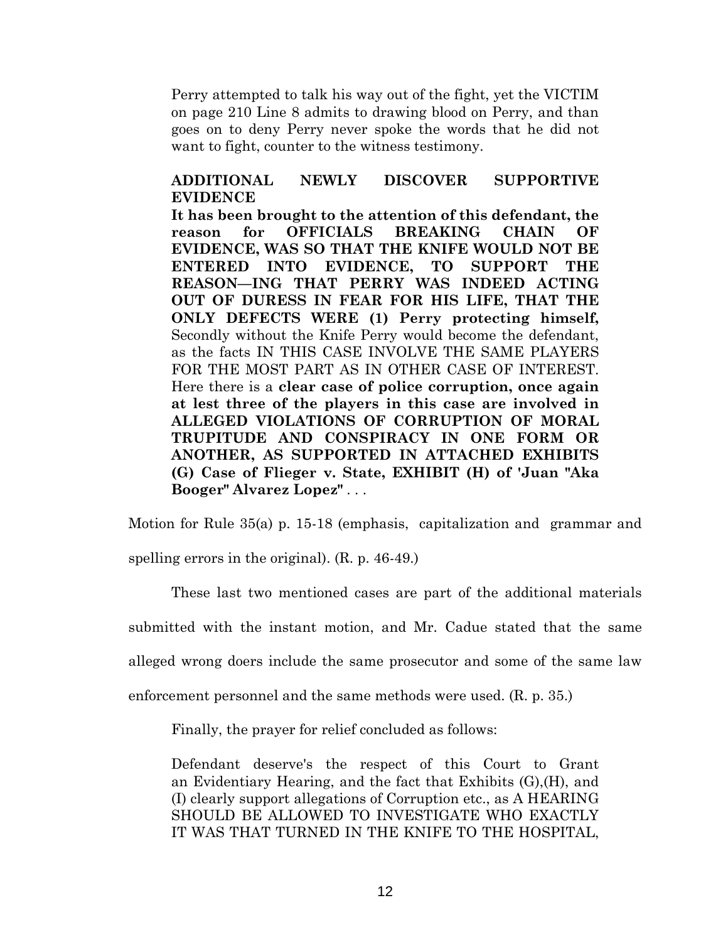Perry attempted to talk his way out of the fight, yet the VICTIM on page 210 Line 8 admits to drawing blood on Perry, and than goes on to deny Perry never spoke the words that he did not want to fight, counter to the witness testimony.

## **ADDITIONAL NEWLY DISCOVER SUPPORTIVE EVIDENCE**

**It has been brought to the attention of this defendant, the reason for OFFICIALS BREAKING CHAIN OF EVIDENCE, WAS SO THAT THE KNIFE WOULD NOT BE ENTERED INTO EVIDENCE, TO SUPPORT THE REASON—ING THAT PERRY WAS INDEED ACTING OUT OF DURESS IN FEAR FOR HIS LIFE, THAT THE ONLY DEFECTS WERE (1) Perry protecting himself,** Secondly without the Knife Perry would become the defendant, as the facts IN THIS CASE INVOLVE THE SAME PLAYERS FOR THE MOST PART AS IN OTHER CASE OF INTEREST. Here there is a **clear case of police corruption, once again at lest three of the players in this case are involved in ALLEGED VIOLATIONS OF CORRUPTION OF MORAL TRUPITUDE AND CONSPIRACY IN ONE FORM OR ANOTHER, AS SUPPORTED IN ATTACHED EXHIBITS (G) Case of Flieger v. State, EXHIBIT (H) of 'Juan "Aka Booger" Alvarez Lopez"** . . .

Motion for Rule 35(a) p. 15-18 (emphasis, capitalization and grammar and spelling errors in the original). (R. p. 46-49.)

These last two mentioned cases are part of the additional materials

submitted with the instant motion, and Mr. Cadue stated that the same

alleged wrong doers include the same prosecutor and some of the same law

enforcement personnel and the same methods were used. (R. p. 35.)

Finally, the prayer for relief concluded as follows:

Defendant deserve's the respect of this Court to Grant an Evidentiary Hearing, and the fact that Exhibits (G),(H), and (I) clearly support allegations of Corruption etc., as A HEARING SHOULD BE ALLOWED TO INVESTIGATE WHO EXACTLY IT WAS THAT TURNED IN THE KNIFE TO THE HOSPITAL,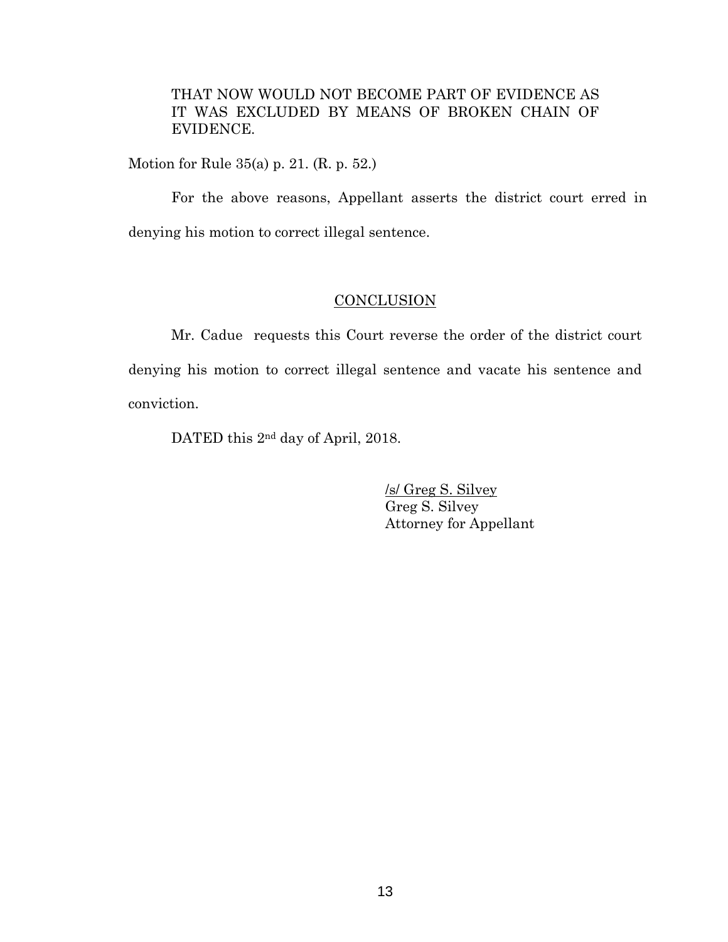THAT NOW WOULD NOT BECOME PART OF EVIDENCE AS IT WAS EXCLUDED BY MEANS OF BROKEN CHAIN OF EVIDENCE.

Motion for Rule 35(a) p. 21. (R. p. 52.)

For the above reasons, Appellant asserts the district court erred in denying his motion to correct illegal sentence.

## **CONCLUSION**

Mr. Cadue requests this Court reverse the order of the district court denying his motion to correct illegal sentence and vacate his sentence and conviction.

DATED this  $2<sup>nd</sup>$  day of April, 2018.

/s/ Greg S. Silvey Greg S. Silvey Attorney for Appellant